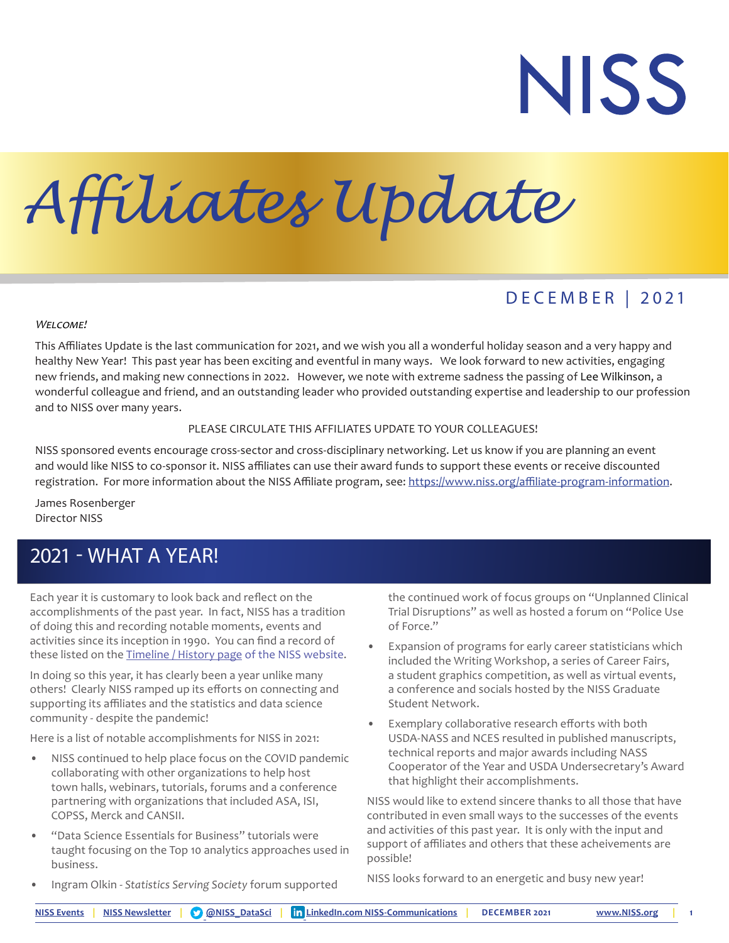# **NISS**

## *Affiliates Update*

## DECEMBER | 2021

#### WELCOME!

This Affiliates Update is the last communication for 2021, and we wish you all a wonderful holiday season and a very happy and healthy New Year! This past year has been exciting and eventful in many ways. We look forward to new activities, engaging new friends, and making new connections in 2022. However, we note with extreme sadness the passing of Lee Wilkinson, a wonderful colleague and friend, and an outstanding leader who provided outstanding expertise and leadership to our profession and to NISS over many years.

#### PLEASE CIRCULATE THIS AFFILIATES UPDATE TO YOUR COLLEAGUES!

NISS sponsored events encourage cross-sector and cross-disciplinary networking. Let us know if you are planning an event and would like NISS to co-sponsor it. NISS affiliates can use their award funds to support these events or receive discounted registration. For more information about the NISS Affiliate program, see: [https://www.niss.org/affiliate-program-information.](https://www.niss.org/affiliate-program-information)

James Rosenberger Director NISS

## 2021 - WHAT A YEAR!

Each year it is customary to look back and reflect on the accomplishments of the past year. In fact, NISS has a tradition of doing this and recording notable moments, events and activities since its inception in 1990. You can find a record of these listed on the [Timeline / History page](https://www.niss.org/about/history) of the NISS website.

In doing so this year, it has clearly been a year unlike many others! Clearly NISS ramped up its efforts on connecting and supporting its affiliates and the statistics and data science community - despite the pandemic!

Here is a list of notable accomplishments for NISS in 2021:

- NISS continued to help place focus on the COVID pandemic collaborating with other organizations to help host town halls, webinars, tutorials, forums and a conference partnering with organizations that included ASA, ISI, COPSS, Merck and CANSII.
- "Data Science Essentials for Business" tutorials were taught focusing on the Top 10 analytics approaches used in business.

the continued work of focus groups on "Unplanned Clinical Trial Disruptions" as well as hosted a forum on "Police Use of Force."

- Expansion of programs for early career statisticians which included the Writing Workshop, a series of Career Fairs, a student graphics competition, as well as virtual events, a conference and socials hosted by the NISS Graduate Student Network.
- Exemplary collaborative research efforts with both USDA-NASS and NCES resulted in published manuscripts, technical reports and major awards including NASS Cooperator of the Year and USDA Undersecretary's Award that highlight their accomplishments.

NISS would like to extend sincere thanks to all those that have contributed in even small ways to the successes of the events and activities of this past year. It is only with the input and support of affiliates and others that these acheivements are possible!

NISS looks forward to an energetic and busy new year!

• Ingram Olkin - *Statistics Serving Society* forum supported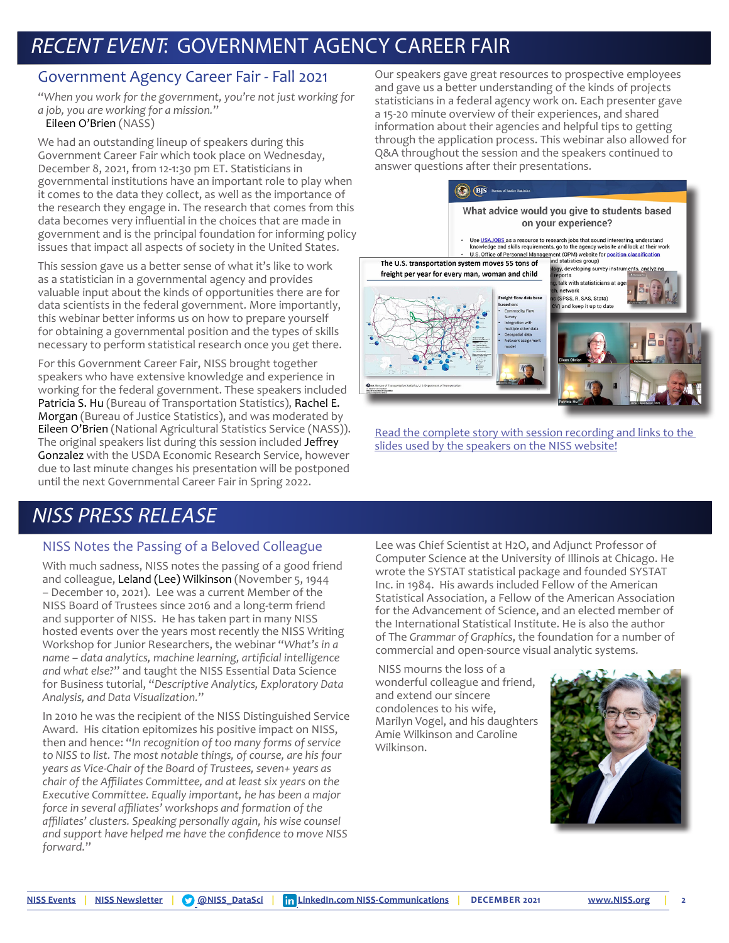## RECENT EVENT: GOVERNMENT AGENCY CAREER FAIR

#### Government Agency Career Fair - Fall 2021

"*When you work for the government, you're not just working for a job, you are working for a mission.*"

Eileen O'Brien (NASS)

We had an outstanding lineup of speakers during this Government Career Fair which took place on Wednesday, December 8, 2021, from 12-1:30 pm ET. Statisticians in governmental institutions have an important role to play when it comes to the data they collect, as well as the importance of the research they engage in. The research that comes from this data becomes very influential in the choices that are made in government and is the principal foundation for informing policy issues that impact all aspects of society in the United States.

This session gave us a better sense of what it's like to work as a statistician in a governmental agency and provides valuable input about the kinds of opportunities there are for data scientists in the federal government. More importantly, this webinar better informs us on how to prepare yourself for obtaining a governmental position and the types of skills necessary to perform statistical research once you get there.

For this Government Career Fair, NISS brought together speakers who have extensive knowledge and experience in working for the federal government. These speakers included Patricia S. Hu (Bureau of Transportation Statistics), Rachel E. Morgan (Bureau of Justice Statistics), and was moderated by Eileen O'Brien (National Agricultural Statistics Service (NASS)). The original speakers list during this session included Jeffrey Gonzalez with the USDA Economic Research Service, however due to last minute changes his presentation will be postponed until the next Governmental Career Fair in Spring 2022.

## NISS PRESS RELEASE

#### NISS Notes the Passing of a Beloved Colleague

With much sadness, NISS notes the passing of a good friend and colleague, Leland (Lee) Wilkinson (November 5, 1944 – December 10, 2021). Lee was a current Member of the NISS Board of Trustees since 2016 and a long-term friend and supporter of NISS. He has taken part in many NISS hosted events over the years most recently the NISS Writing Workshop for Junior Researchers, the webinar "*What's in a name – data analytics, machine learning, artificial intelligence and what else?*" and taught the NISS Essential Data Science for Business tutorial, "*Descriptive Analytics, Exploratory Data Analysis, and Data Visualization.*"

In 2010 he was the recipient of the NISS Distinguished Service Award. His citation epitomizes his positive impact on NISS, then and hence: "*In recognition of too many forms of service to NISS to list. The most notable things, of course, are his four years as Vice-Chair of the Board of Trustees, seven+ years as chair of the Affiliates Committee, and at least six years on the Executive Committee. Equally important, he has been a major force in several affiliates' workshops and formation of the affiliates' clusters. Speaking personally again, his wise counsel and support have helped me have the confidence to move NISS forward.*"

Our speakers gave great resources to prospective employees and gave us a better understanding of the kinds of projects statisticians in a federal agency work on. Each presenter gave a 15-20 minute overview of their experiences, and shared information about their agencies and helpful tips to getting through the application process. This webinar also allowed for Q&A throughout the session and the speakers continued to answer questions after their presentations.



[Read the complete story with session recording and links to the](https://www.niss.org/news/fall-2021-government-agency-career-fair)  [slides used by the speakers on the NISS website!](https://www.niss.org/news/fall-2021-government-agency-career-fair)

Lee was Chief Scientist at H2O, and Adjunct Professor of Computer Science at the University of Illinois at Chicago. He wrote the SYSTAT statistical package and founded SYSTAT Inc. in 1984. His awards included Fellow of the American Statistical Association, a Fellow of the American Association for the Advancement of Science, and an elected member of the International Statistical Institute. He is also the author of The *Grammar of Graphics*, the foundation for a number of commercial and open-source visual analytic systems.

 NISS mourns the loss of a wonderful colleague and friend, and extend our sincere condolences to his wife, Marilyn Vogel, and his daughters Amie Wilkinson and Caroline Wilkinson.

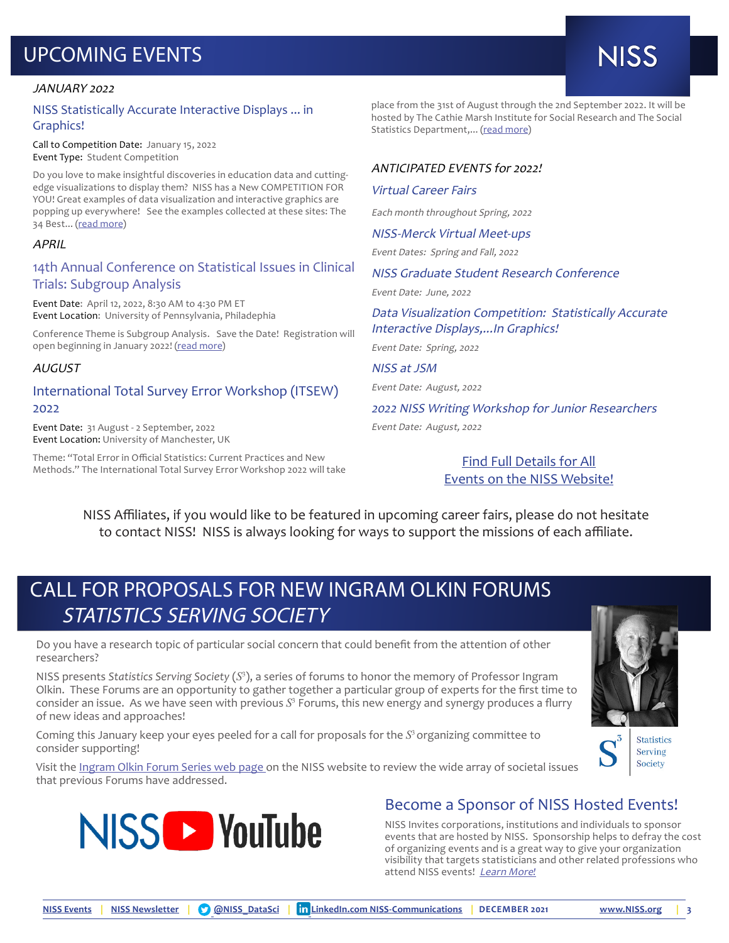## UPCOMING EVENTS

## **NISS**

#### JANUARY 2022

#### NISS Statistically Accurate Interactive Displays ... in Graphics!

Call to Competition Date: January 15, 2022 Event Type: Student Competition

Do you love to make insightful discoveries in education data and cuttingedge visualizations to display them? NISS has a New COMPETITION FOR YOU! Great examples of data visualization and interactive graphics are popping up everywhere! See the examples collected at these sites: The 34 Best... [\(read more](https://www.niss.org/events/niss-statistically-accurate-interactive-displays-graphics-0))

#### APRIL

#### 14th Annual Conference on Statistical Issues in Clinical Trials: Subgroup Analysis

Event Date: April 12, 2022, 8:30 AM to 4:30 PM ET Event Location: University of Pennsylvania, Philadephia

Conference Theme is Subgroup Analysis. Save the Date! Registration will open beginning in January 2022! [\(read more\)](https://www.niss.org/events/14th-annual-conference-statistical-issues-clinical-trials-subgroup-analysis)

#### AUGUST

#### International Total Survey Error Workshop (ITSEW) 2022

Event Date: 31 August - 2 September, 2022 Event Location: University of Manchester, UK

Theme: "Total Error in Official Statistics: Current Practices and New Methods." The International Total Survey Error Workshop 2022 will take place from the 31st of August through the 2nd September 2022. It will be hosted by The Cathie Marsh Institute for Social Research and The Social Statistics Department,... [\(read more](https://www.niss.org/events/international-total-survey-error-workshop-itsew-2022))

#### ANTICIPATED EVENTS for 2022!

#### Virtual Career Fairs

Each month throughout Spring, 2022

NISS-Merck Virtual Meet-ups

Event Dates: Spring and Fall, 2022

NISS Graduate Student Research Conference

Event Date: June, 2022

Data Visualization Competition: Statistically Accurate Interactive Displays,...In Graphics!

Event Date: Spring, 2022

NISS at JSM

Event Date: August, 2022

2022 NISS Writing Workshop for Junior Researchers Event Date: August, 2022

> [Find Full Details for All](https://www.niss.org/events) [Events on the NISS Website](https://www.niss.org/events)!

NISS Affiliates, if you would like to be featured in upcoming career fairs, please do not hesitate to contact NISS! NISS is always looking for ways to support the missions of each affiliate.

### CALL FOR PROPOSALS FOR NEW INGRAM OLKIN FORUMS STATISTICS SERVING SOCIETY

Do you have a research topic of particular social concern that could benefit from the attention of other researchers?

NISS presents *Statistics Serving Society* (*S*<sup>3</sup> ), a series of forums to honor the memory of Professor Ingram Olkin. These Forums are an opportunity to gather together a particular group of experts for the first time to consider an issue. As we have seen with previous S<sup>3</sup> Forums, this new energy and synergy produces a flurry of new ideas and approaches!

Coming this January keep your eyes peeled for a call for proposals for the *S*<sup>3</sup>organizing committee to consider supporting!





#### Become a Sponsor of NISS Hosted Events!

NISS Invites corporations, institutions and individuals to sponsor events that are hosted by NISS. Sponsorship helps to defray the cost of organizing events and is a great way to give your organization visibility that targets statisticians and other related professions who attend NISS events! [Learn More](https://www.niss.org/sponsor-niss-event)*!*



**Statistics** Serving Society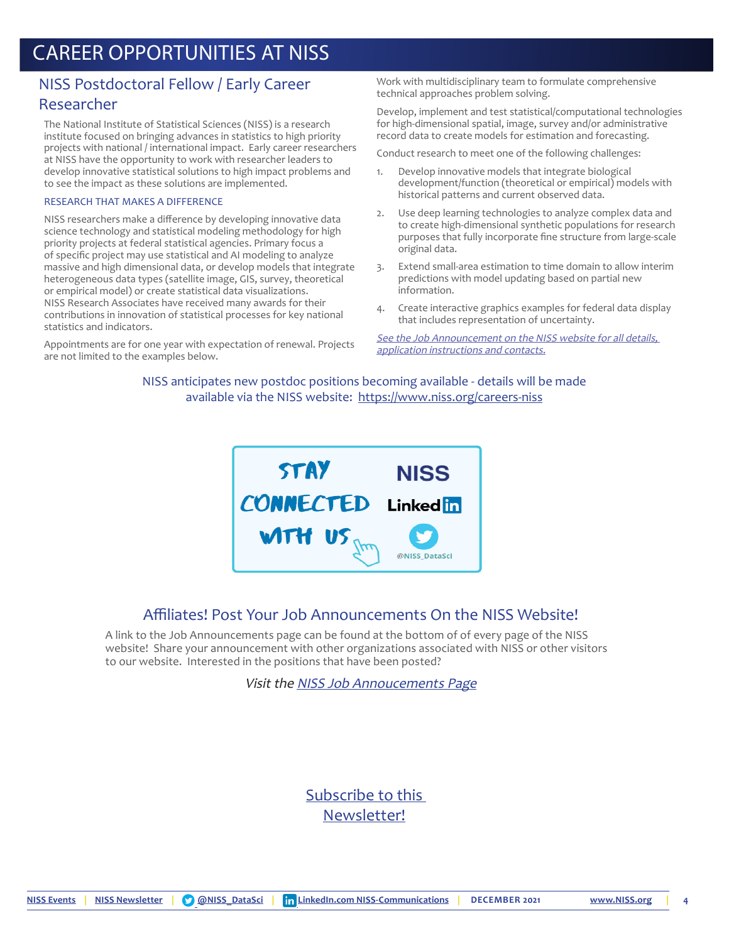#### NISS Postdoctoral Fellow / Early Career Researcher

The National Institute of Statistical Sciences (NISS) is a research institute focused on bringing advances in statistics to high priority projects with national / international impact. Early career researchers at NISS have the opportunity to work with researcher leaders to develop innovative statistical solutions to high impact problems and to see the impact as these solutions are implemented.

#### RESEARCH THAT MAKES A DIFFERENCE

NISS researchers make a difference by developing innovative data science technology and statistical modeling methodology for high priority projects at federal statistical agencies. Primary focus a of specific project may use statistical and AI modeling to analyze massive and high dimensional data, or develop models that integrate heterogeneous data types (satellite image, GIS, survey, theoretical or empirical model) or create statistical data visualizations. NISS Research Associates have received many awards for their contributions in innovation of statistical processes for key national statistics and indicators.

Appointments are for one year with expectation of renewal. Projects are not limited to the examples below.

Work with multidisciplinary team to formulate comprehensive technical approaches problem solving.

Develop, implement and test statistical/computational technologies for high-dimensional spatial, image, survey and/or administrative record data to create models for estimation and forecasting.

Conduct research to meet one of the following challenges:

- 1. Develop innovative models that integrate biological development/function (theoretical or empirical) models with historical patterns and current observed data.
- 2. Use deep learning technologies to analyze complex data and to create high-dimensional synthetic populations for research purposes that fully incorporate fine structure from large-scale original data.
- 3. Extend small-area estimation to time domain to allow interim predictions with model updating based on partial new information.
- 4. Create interactive graphics examples for federal data display that includes representation of uncertainty.

See the Job Announcement on the NISS website for all details. app[lication instructions and contacts.](https://www.niss.org/careers/niss-postdoctoral-fellow-early-career-researcher)

NISS anticipates new postdoc positions becoming available - details will be made available via the NISS website: <https://www.niss.org/careers-niss>



#### Affiliates! Post Your Job Announcements On the NISS Website!

A link to the Job Announcements page can be found at the bottom of of every page of the NISS website! Share your announcement with other organizations associated with NISS or other visitors to our website.Interested in the positions that have been posted?

Visit the [NISS Job Annoucements Page](https://www.niss.org/careers)

#### [Subscribe to this](https://www.niss.org/subscribe-our-newsletter)  [Newsletter!](https://www.niss.org/subscribe-our-newsletter)